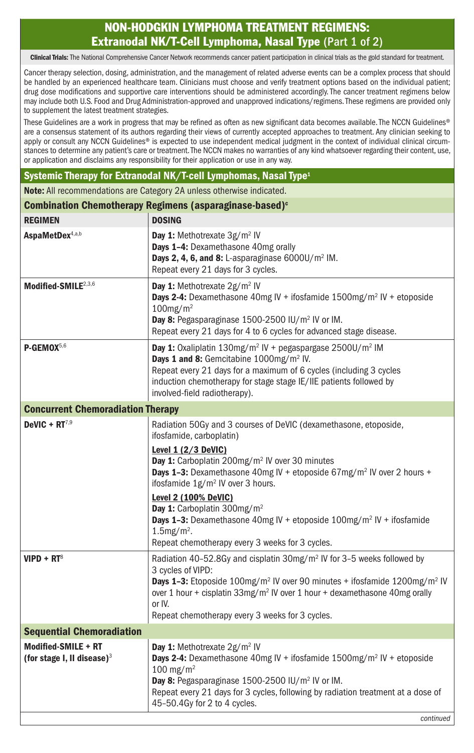## NON-HODGKIN LYMPHOMA TREATMENT REGIMENS: Extranodal NK/T-Cell Lymphoma, Nasal Type (Part 1 of 2)

Clinical Trials: The National Comprehensive Cancer Network recommends cancer patient participation in clinical trials as the gold standard for treatment.

Cancer therapy selection, dosing, administration, and the management of related adverse events can be a complex process that should be handled by an experienced healthcare team. Clinicians must choose and verify treatment options based on the individual patient; drug dose modifications and supportive care interventions should be administered accordingly. The cancer treatment regimens below may include both U.S. Food and Drug Administration-approved and unapproved indications/regimens. These regimens are provided only to supplement the latest treatment strategies.

These Guidelines are a work in progress that may be refined as often as new significant data becomes available. The NCCN Guidelines® are a consensus statement of its authors regarding their views of currently accepted approaches to treatment. Any clinician seeking to apply or consult any NCCN Guidelines® is expected to use independent medical judgment in the context of individual clinical circumstances to determine any patient's care or treatment. The NCCN makes no warranties of any kind whatsoever regarding their content, use, or application and disclaims any responsibility for their application or use in any way.

## Systemic Therapy for Extranodal NK/T-cell Lymphomas, Nasal Type<sup>1</sup>

Note: All recommendations are Category 2A unless otherwise indicated.

| Combination Chemotherapy Regimens (asparaginase-based) <sup>c</sup> |                                                                                                                                                                                                                                                                                                                                                                                                                                                                                                                                                                         |  |
|---------------------------------------------------------------------|-------------------------------------------------------------------------------------------------------------------------------------------------------------------------------------------------------------------------------------------------------------------------------------------------------------------------------------------------------------------------------------------------------------------------------------------------------------------------------------------------------------------------------------------------------------------------|--|
| <b>REGIMEN</b>                                                      | <b>DOSING</b>                                                                                                                                                                                                                                                                                                                                                                                                                                                                                                                                                           |  |
| AspaMetDex4,a,b                                                     | Day 1: Methotrexate 3g/m <sup>2</sup> IV<br>Days 1-4: Dexamethasone 40mg orally<br>Days 2, 4, 6, and 8: L-asparaginase 6000U/m <sup>2</sup> IM.<br>Repeat every 21 days for 3 cycles.                                                                                                                                                                                                                                                                                                                                                                                   |  |
| Modified-SMILE <sup>2,3,6</sup>                                     | Day 1: Methotrexate 2g/m <sup>2</sup> IV<br><b>Days 2-4:</b> Dexamethasone 40mg IV + ifosfamide $1500$ mg/m <sup>2</sup> IV + etoposide<br>$100$ mg/m <sup>2</sup><br>Day 8: Pegasparaginase 1500-2500 IU/m <sup>2</sup> IV or IM.<br>Repeat every 21 days for 4 to 6 cycles for advanced stage disease.                                                                                                                                                                                                                                                                |  |
| P-GEMOX <sup>5,6</sup>                                              | Day 1: Oxaliplatin $130$ mg/m <sup>2</sup> IV + pegaspargase $2500$ U/m <sup>2</sup> IM<br>Days 1 and 8: Gemcitabine 1000mg/m <sup>2</sup> IV.<br>Repeat every 21 days for a maximum of 6 cycles (including 3 cycles<br>induction chemotherapy for stage stage IE/IIE patients followed by<br>involved-field radiotherapy).                                                                                                                                                                                                                                             |  |
| <b>Concurrent Chemoradiation Therapy</b>                            |                                                                                                                                                                                                                                                                                                                                                                                                                                                                                                                                                                         |  |
| DeVIC + $RT^{7,9}$                                                  | Radiation 50Gy and 3 courses of DeVIC (dexamethasone, etoposide,<br>ifosfamide, carboplatin)<br>Level $1(2/3$ DeVIC)<br>Day 1: Carboplatin 200mg/m <sup>2</sup> IV over 30 minutes<br><b>Days 1-3:</b> Dexamethasone 40mg IV + etoposide $67mg/m^2$ IV over 2 hours +<br>ifosfamide 1g/m <sup>2</sup> IV over 3 hours.<br>Level 2 (100% DeVIC)<br>Day 1: Carboplatin 300mg/m <sup>2</sup><br><b>Days 1-3:</b> Dexamethasone 40mg IV + etoposide $100$ mg/m <sup>2</sup> IV + ifosfamide<br>$1.5$ mg/m <sup>2</sup> .<br>Repeat chemotherapy every 3 weeks for 3 cycles. |  |
| $V$ IPD + RT <sup>8</sup>                                           | Radiation 40-52.8Gy and cisplatin 30mg/m <sup>2</sup> IV for 3-5 weeks followed by<br>3 cycles of VIPD:<br><b>Days 1-3:</b> Etoposide 100mg/m <sup>2</sup> IV over 90 minutes + ifosfamide $1200$ mg/m <sup>2</sup> IV<br>over 1 hour + cisplatin 33mg/m <sup>2</sup> IV over 1 hour + dexamethasone 40mg orally<br>or IV.<br>Repeat chemotherapy every 3 weeks for 3 cycles.                                                                                                                                                                                           |  |
| <b>Sequential Chemoradiation</b>                                    |                                                                                                                                                                                                                                                                                                                                                                                                                                                                                                                                                                         |  |
| Modified-SMILE + RT<br>(for stage I, II disease) $3$                | Day 1: Methotrexate 2g/m <sup>2</sup> IV<br><b>Days 2-4:</b> Dexamethasone 40mg IV + ifosfamide $1500$ mg/m <sup>2</sup> IV + etoposide<br>100 mg/m <sup>2</sup><br>Day 8: Pegasparaginase 1500-2500 IU/m <sup>2</sup> IV or IM.<br>Repeat every 21 days for 3 cycles, following by radiation treatment at a dose of<br>45-50.4Gy for 2 to 4 cycles.<br>continued                                                                                                                                                                                                       |  |